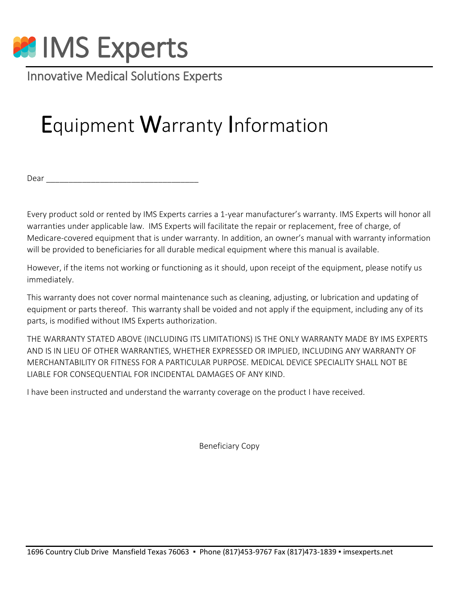

Innovative Medical Solutions Experts

# Equipment Warranty Information

Dear \_\_\_\_\_\_\_\_\_\_\_\_\_\_\_\_\_\_\_\_\_\_\_\_\_\_\_\_\_\_\_\_\_\_

Every product sold or rented by IMS Experts carries a 1-year manufacturer's warranty. IMS Experts will honor all warranties under applicable law. IMS Experts will facilitate the repair or replacement, free of charge, of Medicare-covered equipment that is under warranty. In addition, an owner's manual with warranty information will be provided to beneficiaries for all durable medical equipment where this manual is available.

However, if the items not working or functioning as it should, upon receipt of the equipment, please notify us immediately.

This warranty does not cover normal maintenance such as cleaning, adjusting, or lubrication and updating of equipment or parts thereof. This warranty shall be voided and not apply if the equipment, including any of its parts, is modified without IMS Experts authorization.

THE WARRANTY STATED ABOVE (INCLUDING ITS LIMITATIONS) IS THE ONLY WARRANTY MADE BY IMS EXPERTS AND IS IN LIEU OF OTHER WARRANTIES, WHETHER EXPRESSED OR IMPLIED, INCLUDING ANY WARRANTY OF MERCHANTABILITY OR FITNESS FOR A PARTICULAR PURPOSE. MEDICAL DEVICE SPECIALITY SHALL NOT BE LIABLE FOR CONSEQUENTIAL FOR INCIDENTAL DAMAGES OF ANY KIND.

I have been instructed and understand the warranty coverage on the product I have received.

Beneficiary Copy